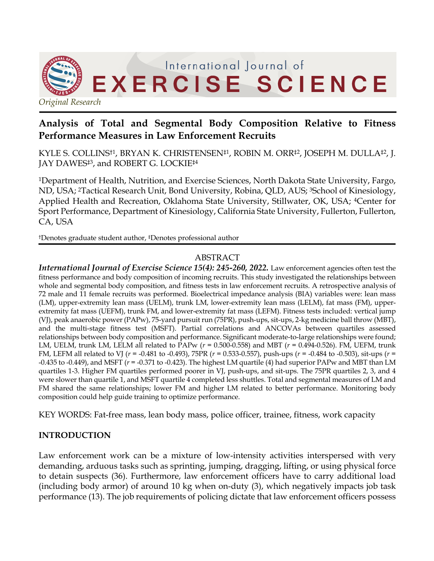

# **Analysis of Total and Segmental Body Composition Relative to Fitness Performance Measures in Law Enforcement Recruits**

KYLE S. COLLINS†1, BRYAN K. CHRISTENSEN‡1, ROBIN M. ORR‡2, JOSEPH M. DULLA‡2, J. JAY DAWES<sup>‡3</sup>, and ROBERT G. LOCKIE<sup>‡4</sup>

1Department of Health, Nutrition, and Exercise Sciences, North Dakota State University, Fargo, ND, USA; 2Tactical Research Unit, Bond University, Robina, QLD, AUS; 3School of Kinesiology, Applied Health and Recreation, Oklahoma State University, Stillwater, OK, USA; <sup>4</sup>Center for Sport Performance, Department of Kinesiology, California State University, Fullerton, Fullerton, CA, USA

†Denotes graduate student author, ‡Denotes professional author

# ABSTRACT

*International Journal of Exercise Science 15(4): 245-260, 2022.* Law enforcement agencies often test the fitness performance and body composition of incoming recruits. This study investigated the relationships between whole and segmental body composition, and fitness tests in law enforcement recruits. A retrospective analysis of 72 male and 11 female recruits was performed. Bioelectrical impedance analysis (BIA) variables were: lean mass (LM), upper-extremity lean mass (UELM), trunk LM, lower-extremity lean mass (LELM), fat mass (FM), upperextremity fat mass (UEFM), trunk FM, and lower-extremity fat mass (LEFM). Fitness tests included: vertical jump (VJ), peak anaerobic power (PAPw), 75-yard pursuit run (75PR), push-ups, sit-ups, 2-kg medicine ball throw (MBT), and the multi-stage fitness test (MSFT). Partial correlations and ANCOVAs between quartiles assessed relationships between body composition and performance. Significant moderate-to-large relationships were found; LM, UELM, trunk LM, LELM all related to PAPw (*r* = 0.500-0.558) and MBT (*r* = 0.494-0.526). FM, UEFM, trunk FM, LEFM all related to VJ (*r* = -0.481 to -0.493), 75PR (*r* = 0.533-0.557), push-ups (*r* = -0.484 to -0.503), sit-ups (*r* = -0.435 to -0.449), and MSFT (*r* = -0.371 to -0.423). The highest LM quartile (4) had superior PAPw and MBT than LM quartiles 1-3. Higher FM quartiles performed poorer in VJ, push-ups, and sit-ups. The 75PR quartiles 2, 3, and 4 were slower than quartile 1, and MSFT quartile 4 completed less shuttles. Total and segmental measures of LM and FM shared the same relationships; lower FM and higher LM related to better performance. Monitoring body composition could help guide training to optimize performance.

KEY WORDS: Fat-free mass, lean body mass, police officer, trainee, fitness, work capacity

### **INTRODUCTION**

Law enforcement work can be a mixture of low-intensity activities interspersed with very demanding, arduous tasks such as sprinting, jumping, dragging, lifting, or using physical force to detain suspects (36). Furthermore, law enforcement officers have to carry additional load (including body armor) of around 10 kg when on-duty (3), which negatively impacts job task performance (13). The job requirements of policing dictate that law enforcement officers possess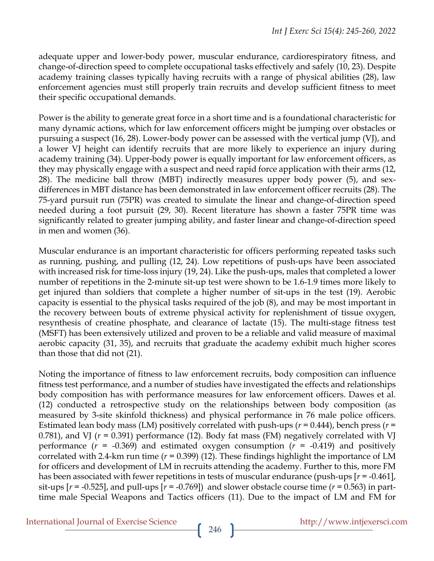adequate upper and lower-body power, muscular endurance, cardiorespiratory fitness, and change-of-direction speed to complete occupational tasks effectively and safely (10, 23). Despite academy training classes typically having recruits with a range of physical abilities (28), law enforcement agencies must still properly train recruits and develop sufficient fitness to meet their specific occupational demands.

Power is the ability to generate great force in a short time and is a foundational characteristic for many dynamic actions, which for law enforcement officers might be jumping over obstacles or pursuing a suspect (16, 28). Lower-body power can be assessed with the vertical jump (VJ), and a lower VJ height can identify recruits that are more likely to experience an injury during academy training (34). Upper-body power is equally important for law enforcement officers, as they may physically engage with a suspect and need rapid force application with their arms (12, 28). The medicine ball throw (MBT) indirectly measures upper body power (5), and sexdifferences in MBT distance has been demonstrated in law enforcement officer recruits (28). The 75-yard pursuit run (75PR) was created to simulate the linear and change-of-direction speed needed during a foot pursuit (29, 30). Recent literature has shown a faster 75PR time was significantly related to greater jumping ability, and faster linear and change-of-direction speed in men and women (36).

Muscular endurance is an important characteristic for officers performing repeated tasks such as running, pushing, and pulling (12, 24). Low repetitions of push-ups have been associated with increased risk for time-loss injury (19, 24). Like the push-ups, males that completed a lower number of repetitions in the 2-minute sit-up test were shown to be 1.6-1.9 times more likely to get injured than soldiers that complete a higher number of sit-ups in the test (19). Aerobic capacity is essential to the physical tasks required of the job (8), and may be most important in the recovery between bouts of extreme physical activity for replenishment of tissue oxygen, resynthesis of creatine phosphate, and clearance of lactate (15). The multi-stage fitness test (MSFT) has been extensively utilized and proven to be a reliable and valid measure of maximal aerobic capacity (31, 35), and recruits that graduate the academy exhibit much higher scores than those that did not (21).

Noting the importance of fitness to law enforcement recruits, body composition can influence fitness test performance, and a number of studies have investigated the effects and relationships body composition has with performance measures for law enforcement officers. Dawes et al. (12) conducted a retrospective study on the relationships between body composition (as measured by 3-site skinfold thickness) and physical performance in 76 male police officers. Estimated lean body mass (LM) positively correlated with push-ups ( $r = 0.444$ ), bench press ( $r =$ 0.781), and VJ (*r* = 0.391) performance (12). Body fat mass (FM) negatively correlated with VJ performance (*r* = -0.369) and estimated oxygen consumption (*r* = -0.419) and positively correlated with 2.4-km run time (*r* = 0.399) (12). These findings highlight the importance of LM for officers and development of LM in recruits attending the academy. Further to this, more FM has been associated with fewer repetitions in tests of muscular endurance (push-ups [*r* = -0.461], sit-ups  $[r = -0.525]$ , and pull-ups  $[r = -0.769]$  and slower obstacle course time  $(r = 0.563)$  in parttime male Special Weapons and Tactics officers (11). Due to the impact of LM and FM for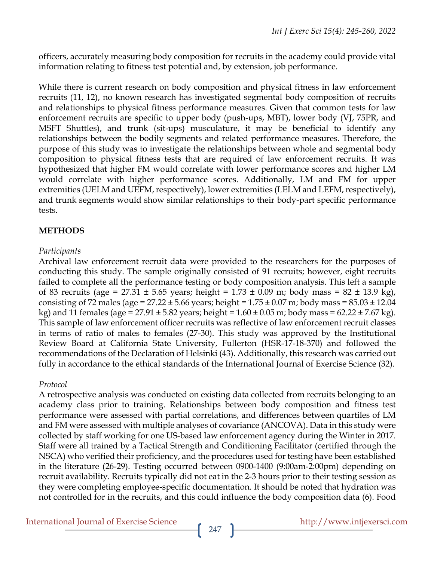officers, accurately measuring body composition for recruits in the academy could provide vital information relating to fitness test potential and, by extension, job performance.

While there is current research on body composition and physical fitness in law enforcement recruits (11, 12), no known research has investigated segmental body composition of recruits and relationships to physical fitness performance measures. Given that common tests for law enforcement recruits are specific to upper body (push-ups, MBT), lower body (VJ, 75PR, and MSFT Shuttles), and trunk (sit-ups) musculature, it may be beneficial to identify any relationships between the bodily segments and related performance measures. Therefore, the purpose of this study was to investigate the relationships between whole and segmental body composition to physical fitness tests that are required of law enforcement recruits. It was hypothesized that higher FM would correlate with lower performance scores and higher LM would correlate with higher performance scores. Additionally, LM and FM for upper extremities (UELM and UEFM, respectively), lower extremities (LELM and LEFM, respectively), and trunk segments would show similar relationships to their body-part specific performance tests.

# **METHODS**

## *Participants*

Archival law enforcement recruit data were provided to the researchers for the purposes of conducting this study. The sample originally consisted of 91 recruits; however, eight recruits failed to complete all the performance testing or body composition analysis. This left a sample of 83 recruits (age = 27.31  $\pm$  5.65 years; height = 1.73  $\pm$  0.09 m; body mass = 82  $\pm$  13.9 kg), consisting of 72 males (age =  $27.22 \pm 5.66$  years; height =  $1.75 \pm 0.07$  m; body mass =  $85.03 \pm 12.04$ kg) and 11 females (age =  $27.91 \pm 5.82$  years; height =  $1.60 \pm 0.05$  m; body mass =  $62.22 \pm 7.67$  kg). This sample of law enforcement officer recruits was reflective of law enforcement recruit classes in terms of ratio of males to females (27-30). This study was approved by the Institutional Review Board at California State University, Fullerton (HSR-17-18-370) and followed the recommendations of the Declaration of Helsinki (43). Additionally, this research was carried out fully in accordance to the ethical standards of the International Journal of Exercise Science (32).

# *Protocol*

A retrospective analysis was conducted on existing data collected from recruits belonging to an academy class prior to training. Relationships between body composition and fitness test performance were assessed with partial correlations, and differences between quartiles of LM and FM were assessed with multiple analyses of covariance (ANCOVA). Data in this study were collected by staff working for one US-based law enforcement agency during the Winter in 2017. Staff were all trained by a Tactical Strength and Conditioning Facilitator (certified through the NSCA) who verified their proficiency, and the procedures used for testing have been established in the literature (26-29). Testing occurred between 0900-1400 (9:00am-2:00pm) depending on recruit availability. Recruits typically did not eat in the 2-3 hours prior to their testing session as they were completing employee-specific documentation. It should be noted that hydration was not controlled for in the recruits, and this could influence the body composition data (6). Food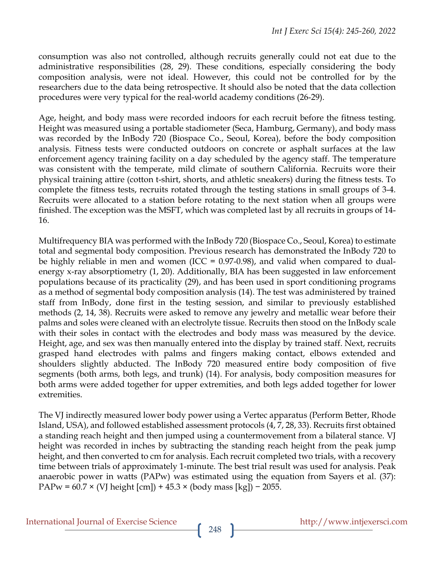consumption was also not controlled, although recruits generally could not eat due to the administrative responsibilities (28, 29). These conditions, especially considering the body composition analysis, were not ideal. However, this could not be controlled for by the researchers due to the data being retrospective. It should also be noted that the data collection procedures were very typical for the real-world academy conditions (26-29).

Age, height, and body mass were recorded indoors for each recruit before the fitness testing. Height was measured using a portable stadiometer (Seca, Hamburg, Germany), and body mass was recorded by the InBody 720 (Biospace Co., Seoul, Korea), before the body composition analysis. Fitness tests were conducted outdoors on concrete or asphalt surfaces at the law enforcement agency training facility on a day scheduled by the agency staff. The temperature was consistent with the temperate, mild climate of southern California. Recruits wore their physical training attire (cotton t-shirt, shorts, and athletic sneakers) during the fitness tests. To complete the fitness tests, recruits rotated through the testing stations in small groups of 3-4. Recruits were allocated to a station before rotating to the next station when all groups were finished. The exception was the MSFT, which was completed last by all recruits in groups of 14- 16.

Multifrequency BIA was performed with the InBody 720 (Biospace Co., Seoul, Korea) to estimate total and segmental body composition. Previous research has demonstrated the InBody 720 to be highly reliable in men and women (ICC = 0.97-0.98), and valid when compared to dualenergy x-ray absorptiometry (1, 20). Additionally, BIA has been suggested in law enforcement populations because of its practicality (29), and has been used in sport conditioning programs as a method of segmental body composition analysis (14). The test was administered by trained staff from InBody, done first in the testing session, and similar to previously established methods (2, 14, 38). Recruits were asked to remove any jewelry and metallic wear before their palms and soles were cleaned with an electrolyte tissue. Recruits then stood on the InBody scale with their soles in contact with the electrodes and body mass was measured by the device. Height, age, and sex was then manually entered into the display by trained staff. Next, recruits grasped hand electrodes with palms and fingers making contact, elbows extended and shoulders slightly abducted. The InBody 720 measured entire body composition of five segments (both arms, both legs, and trunk) (14). For analysis, body composition measures for both arms were added together for upper extremities, and both legs added together for lower extremities.

The VJ indirectly measured lower body power using a Vertec apparatus (Perform Better, Rhode Island, USA), and followed established assessment protocols (4, 7, 28, 33). Recruits first obtained a standing reach height and then jumped using a countermovement from a bilateral stance. VJ height was recorded in inches by subtracting the standing reach height from the peak jump height, and then converted to cm for analysis. Each recruit completed two trials, with a recovery time between trials of approximately 1-minute. The best trial result was used for analysis. Peak anaerobic power in watts (PAPw) was estimated using the equation from Sayers et al. (37): PAPw =  $60.7 \times$  (VJ height [cm]) +  $45.3 \times$  (body mass [kg]) – 2055.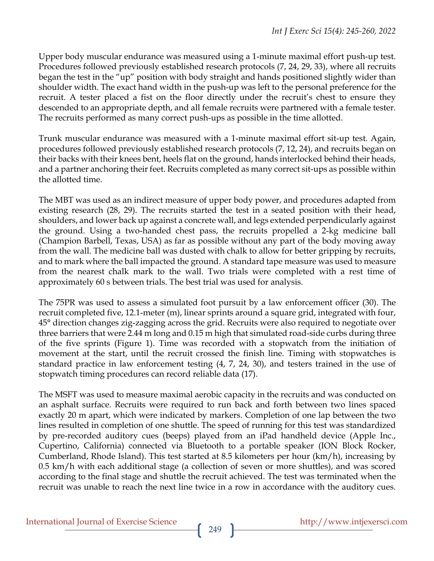Upper body muscular endurance was measured using a 1-minute maximal effort push-up test. Procedures followed previously established research protocols (7, 24, 29, 33), where all recruits began the test in the "up" position with body straight and hands positioned slightly wider than shoulder width. The exact hand width in the push-up was left to the personal preference for the recruit. A tester placed a fist on the floor directly under the recruit's chest to ensure they descended to an appropriate depth, and all female recruits were partnered with a female tester. The recruits performed as many correct push-ups as possible in the time allotted.

Trunk muscular endurance was measured with a 1-minute maximal effort sit-up test. Again, procedures followed previously established research protocols (7, 12, 24), and recruits began on their backs with their knees bent, heels flat on the ground, hands interlocked behind their heads, and a partner anchoring their feet. Recruits completed as many correct sit-ups as possible within the allotted time.

The MBT was used as an indirect measure of upper body power, and procedures adapted from existing research (28, 29). The recruits started the test in a seated position with their head, shoulders, and lower back up against a concrete wall, and legs extended perpendicularly against the ground. Using a two-handed chest pass, the recruits propelled a 2-kg medicine ball (Champion Barbell, Texas, USA) as far as possible without any part of the body moving away from the wall. The medicine ball was dusted with chalk to allow for better gripping by recruits, and to mark where the ball impacted the ground. A standard tape measure was used to measure from the nearest chalk mark to the wall. Two trials were completed with a rest time of approximately 60 s between trials. The best trial was used for analysis.

The 75PR was used to assess a simulated foot pursuit by a law enforcement officer (30). The recruit completed five, 12.1-meter (m), linear sprints around a square grid, integrated with four, 45° direction changes zig-zagging across the grid. Recruits were also required to negotiate over three barriers that were 2.44 m long and 0.15 m high that simulated road-side curbs during three of the five sprints (Figure 1). Time was recorded with a stopwatch from the initiation of movement at the start, until the recruit crossed the finish line. Timing with stopwatches is standard practice in law enforcement testing (4, 7, 24, 30), and testers trained in the use of stopwatch timing procedures can record reliable data (17).

The MSFT was used to measure maximal aerobic capacity in the recruits and was conducted on an asphalt surface. Recruits were required to run back and forth between two lines spaced exactly 20 m apart, which were indicated by markers. Completion of one lap between the two lines resulted in completion of one shuttle. The speed of running for this test was standardized by pre-recorded auditory cues (beeps) played from an iPad handheld device (Apple Inc., Cupertino, California) connected via Bluetooth to a portable speaker (ION Block Rocker, Cumberland, Rhode Island). This test started at 8.5 kilometers per hour (km/h), increasing by 0.5 km/h with each additional stage (a collection of seven or more shuttles), and was scored according to the final stage and shuttle the recruit achieved. The test was terminated when the recruit was unable to reach the next line twice in a row in accordance with the auditory cues.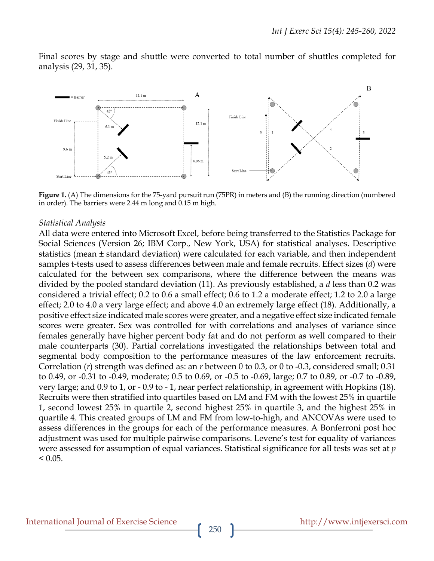Final scores by stage and shuttle were converted to total number of shuttles completed for analysis (29, 31, 35).



**Figure 1.** (A) The dimensions for the 75-yard pursuit run (75PR) in meters and (B) the running direction (numbered in order). The barriers were 2.44 m long and 0.15 m high.

#### *Statistical Analysis*

All data were entered into Microsoft Excel, before being transferred to the Statistics Package for Social Sciences (Version 26; IBM Corp., New York, USA) for statistical analyses. Descriptive statistics (mean ± standard deviation) were calculated for each variable, and then independent samples t-tests used to assess differences between male and female recruits. Effect sizes (*d*) were calculated for the between sex comparisons, where the difference between the means was divided by the pooled standard deviation (11). As previously established, a *d* less than 0.2 was considered a trivial effect; 0.2 to 0.6 a small effect; 0.6 to 1.2 a moderate effect; 1.2 to 2.0 a large effect; 2.0 to 4.0 a very large effect; and above 4.0 an extremely large effect (18). Additionally, a positive effect size indicated male scores were greater, and a negative effect size indicated female scores were greater. Sex was controlled for with correlations and analyses of variance since females generally have higher percent body fat and do not perform as well compared to their male counterparts (30). Partial correlations investigated the relationships between total and segmental body composition to the performance measures of the law enforcement recruits. Correlation (*r*) strength was defined as: an *r* between 0 to 0.3, or 0 to -0.3, considered small; 0.31 to 0.49, or -0.31 to -0.49, moderate; 0.5 to 0.69, or -0.5 to -0.69, large; 0.7 to 0.89, or -0.7 to -0.89, very large; and 0.9 to 1, or - 0.9 to - 1, near perfect relationship, in agreement with Hopkins (18). Recruits were then stratified into quartiles based on LM and FM with the lowest 25% in quartile 1, second lowest 25% in quartile 2, second highest 25% in quartile 3, and the highest 25% in quartile 4. This created groups of LM and FM from low-to-high, and ANCOVAs were used to assess differences in the groups for each of the performance measures. A Bonferroni post hoc adjustment was used for multiple pairwise comparisons. Levene's test for equality of variances were assessed for assumption of equal variances. Statistical significance for all tests was set at *p*  $< 0.05$ .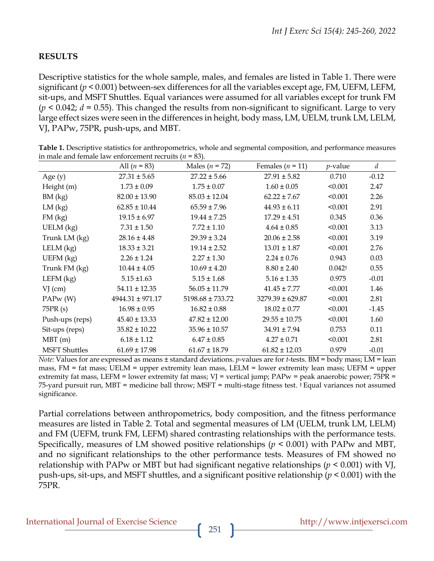## **RESULTS**

Descriptive statistics for the whole sample, males, and females are listed in Table 1. There were significant ( $p < 0.001$ ) between-sex differences for all the variables except age, FM, UEFM, LEFM, sit-ups, and MSFT Shuttles. Equal variances were assumed for all variables except for trunk FM  $(p < 0.042; d = 0.55)$ . This changed the results from non-significant to significant. Large to very large effect sizes were seen in the differences in height, body mass, LM, UELM, trunk LM, LELM, VJ, PAPw, 75PR, push-ups, and MBT.

|                      | All $(n = 83)$       | Males ( $n = 72$ )   | Females ( $n = 11$ ) | <i>p</i> -value    | $\boldsymbol{d}$ |
|----------------------|----------------------|----------------------|----------------------|--------------------|------------------|
| Age $(y)$            | $27.31 \pm 5.65$     | $27.22 \pm 5.66$     | $27.91 \pm 5.82$     | 0.710              | $-0.12$          |
| Height (m)           | $1.73 \pm 0.09$      | $1.75 \pm 0.07$      | $1.60 \pm 0.05$      | < 0.001            | 2.47             |
| BM (kg)              | $82.00 \pm 13.90$    | $85.03 \pm 12.04$    | $62.22 \pm 7.67$     | < 0.001            | 2.26             |
| LM (kg)              | $62.85 \pm 10.44$    | $65.59 \pm 7.96$     | $44.93 \pm 6.11$     | < 0.001            | 2.91             |
| FM(kg)               | $19.15 \pm 6.97$     | $19.44 \pm 7.25$     | $17.29 \pm 4.51$     | 0.345              | 0.36             |
| $UELM$ (kg)          | $7.31 \pm 1.50$      | $7.72 \pm 1.10$      | $4.64 \pm 0.85$      | < 0.001            | 3.13             |
| Trunk LM (kg)        | $28.16 \pm 4.48$     | $29.39 \pm 3.24$     | $20.06 \pm 2.58$     | < 0.001            | 3.19             |
| $LELM$ (kg)          | $18.33 \pm 3.21$     | $19.14 \pm 2.52$     | $13.01 \pm 1.87$     | < 0.001            | 2.76             |
| $UEFM$ (kg)          | $2.26 \pm 1.24$      | $2.27 \pm 1.30$      | $2.24 \pm 0.76$      | 0.943              | 0.03             |
| Trunk FM (kg)        | $10.44 \pm 4.05$     | $10.69 \pm 4.20$     | $8.80 \pm 2.40$      | 0.042 <sup>†</sup> | 0.55             |
| LEFM $(kg)$          | $5.15 \pm 1.63$      | $5.15 \pm 1.68$      | $5.16 \pm 1.35$      | 0.975              | $-0.01$          |
| $VJ$ (cm)            | $54.11 \pm 12.35$    | $56.05 \pm 11.79$    | $41.45 \pm 7.77$     | < 0.001            | 1.46             |
| PAPw(W)              | $4944.31 \pm 971.17$ | $5198.68 \pm 733.72$ | $3279.39 \pm 629.87$ | < 0.001            | 2.81             |
| 75PR (s)             | $16.98 \pm 0.95$     | $16.82 \pm 0.88$     | $18.02 \pm 0.77$     | < 0.001            | $-1.45$          |
| Push-ups (reps)      | $45.40 \pm 13.33$    | $47.82 \pm 12.00$    | $29.55 \pm 10.75$    | < 0.001            | 1.60             |
| Sit-ups (reps)       | $35.82 \pm 10.22$    | $35.96 \pm 10.57$    | $34.91 \pm 7.94$     | 0.753              | 0.11             |
| MBT(m)               | $6.18 \pm 1.12$      | $6.47 \pm 0.85$      | $4.27 \pm 0.71$      | < 0.001            | 2.81             |
| <b>MSFT</b> Shuttles | $61.69 \pm 17.98$    | $61.67 \pm 18.79$    | $61.82 \pm 12.03$    | 0.979              | $-0.01$          |

**Table 1.** Descriptive statistics for anthropometrics, whole and segmental composition, and performance measures in male and female law enforcement recruits (*n* = 83).

*Note:* Values for are expressed as means ± standard deviations. *p*-values are for *t*-tests. BM = body mass; LM = lean mass, FM = fat mass; UELM = upper extremity lean mass, LELM = lower extremity lean mass; UEFM = upper extremity fat mass, LEFM = lower extremity fat mass; VJ = vertical jump; PAPw = peak anaerobic power; 75PR = 75-yard pursuit run, MBT = medicine ball throw; MSFT = multi-stage fitness test. † Equal variances not assumed significance.

Partial correlations between anthropometrics, body composition, and the fitness performance measures are listed in Table 2. Total and segmental measures of LM (UELM, trunk LM, LELM) and FM (UEFM, trunk FM, LEFM) shared contrasting relationships with the performance tests. Specifically, measures of LM showed positive relationships (*p* < 0.001) with PAPw and MBT, and no significant relationships to the other performance tests. Measures of FM showed no relationship with PAPw or MBT but had significant negative relationships (*p* < 0.001) with VJ, push-ups, sit-ups, and MSFT shuttles, and a significant positive relationship (*p* < 0.001) with the 75PR.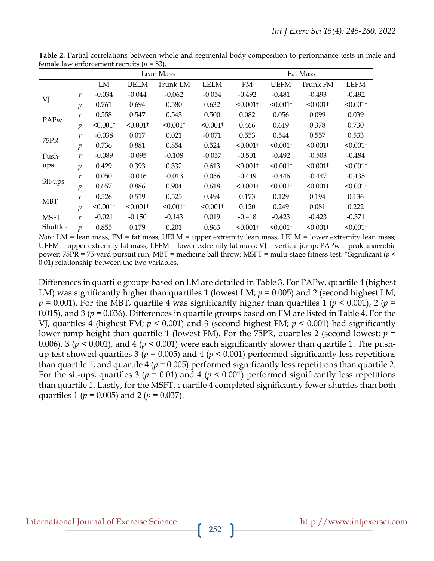|                   |                     | Lean Mass              |                        |                        | Fat Mass               |                        |                        |                        |                        |
|-------------------|---------------------|------------------------|------------------------|------------------------|------------------------|------------------------|------------------------|------------------------|------------------------|
|                   |                     | LM                     | <b>UELM</b>            | Trunk LM               | <b>LELM</b>            | FM                     | UEFM                   | Trunk FM               | <b>LEFM</b>            |
| VJ                | r                   | $-0.034$               | $-0.044$               | $-0.062$               | $-0.054$               | $-0.492$               | $-0.481$               | $-0.493$               | $-0.492$               |
|                   | $\mathcal{p}$       | 0.761                  | 0.694                  | 0.580                  | 0.632                  | $< 0.001$ <sup>+</sup> | $< 0.001$ <sup>+</sup> | $< 0.001$ <sup>+</sup> | $< 0.001$ <sup>+</sup> |
| PAPw              | r                   | 0.558                  | 0.547                  | 0.543                  | 0.500                  | 0.082                  | 0.056                  | 0.099                  | 0.039                  |
|                   | $\mathfrak{p}$      | $< 0.001$ <sup>+</sup> | $< 0.001$ <sup>+</sup> | $< 0.001$ <sup>+</sup> | $< 0.001$ <sup>+</sup> | 0.466                  | 0.619                  | 0.378                  | 0.730                  |
| 75PR              | r                   | $-0.038$               | 0.017                  | 0.021                  | $-0.071$               | 0.553                  | 0.544                  | 0.557                  | 0.533                  |
|                   | $\mathcal{p}$       | 0.736                  | 0.881                  | 0.854                  | 0.524                  | $< 0.001$ <sup>+</sup> | $< 0.001$ <sup>+</sup> | $< 0.001$ <sup>+</sup> | $< 0.001$ <sup>+</sup> |
| Push-             | r                   | $-0.089$               | $-0.095$               | $-0.108$               | $-0.057$               | $-0.501$               | $-0.492$               | $-0.503$               | $-0.484$               |
| ups               | $\mathcal{D}$       | 0.429                  | 0.393                  | 0.332                  | 0.613                  | $< 0.001$ <sup>+</sup> | $< 0.001$ <sup>+</sup> | $< 0.001$ <sup>+</sup> | $< 0.001$ <sup>+</sup> |
| r<br>Sit-ups<br>p |                     | 0.050                  | $-0.016$               | $-0.013$               | 0.056                  | $-0.449$               | $-0.446$               | $-0.447$               | $-0.435$               |
|                   |                     | 0.657                  | 0.886                  | 0.904                  | 0.618                  | $< 0.001$ <sup>+</sup> | $< 0.001$ <sup>+</sup> | $< 0.001$ <sup>+</sup> | $< 0.001$ <sup>+</sup> |
| <b>MBT</b>        | r                   | 0.526                  | 0.519                  | 0.525                  | 0.494                  | 0.173                  | 0.129                  | 0.194                  | 0.136                  |
|                   | $\mathcal{p}$       | $< 0.001$ <sup>+</sup> | $< 0.001$ <sup>+</sup> | $< 0.001$ <sup>+</sup> | $< 0.001$ <sup>+</sup> | 0.120                  | 0.249                  | 0.081                  | 0.222                  |
| <b>MSFT</b>       | r                   | $-0.021$               | $-0.150$               | $-0.143$               | 0.019                  | $-0.418$               | $-0.423$               | $-0.423$               | $-0.371$               |
| Shuttles          | $\boldsymbol{\eta}$ | 0.855                  | 0.179                  | 0.201                  | 0.863                  | $< 0.001$ <sup>+</sup> | $< 0.001$ <sup>+</sup> | $< 0.001$ <sup>+</sup> | $< 0.001$ <sup>+</sup> |

**Table 2.** Partial correlations between whole and segmental body composition to performance tests in male and female law enforcement recruits (*n* = 83).

*Note:* LM = lean mass, FM = fat mass; UELM = upper extremity lean mass, LELM = lower extremity lean mass; UEFM = upper extremity fat mass, LEFM = lower extremity fat mass; VJ = vertical jump; PAPw = peak anaerobic power; 75PR = 75-yard pursuit run, MBT = medicine ball throw; MSFT = multi-stage fitness test. † Significant (*p* < 0.01) relationship between the two variables.

Differences in quartile groups based on LM are detailed in Table 3. For PAPw, quartile 4 (highest LM) was significantly higher than quartiles 1 (lowest LM;  $p = 0.005$ ) and 2 (second highest LM;  $p = 0.001$ ). For the MBT, quartile 4 was significantly higher than quartiles 1 ( $p < 0.001$ ), 2 ( $p =$ 0.015), and 3 (*p* = 0.036). Differences in quartile groups based on FM are listed in Table 4. For the VJ, quartiles 4 (highest FM; *p* < 0.001) and 3 (second highest FM; *p* < 0.001) had significantly lower jump height than quartile 1 (lowest FM). For the 75PR, quartiles 2 (second lowest; *p* = 0.006), 3 ( $p < 0.001$ ), and 4 ( $p < 0.001$ ) were each significantly slower than quartile 1. The pushup test showed quartiles 3 ( $p = 0.005$ ) and 4 ( $p < 0.001$ ) performed significantly less repetitions than quartile 1, and quartile 4 ( $p = 0.005$ ) performed significantly less repetitions than quartile 2. For the sit-ups, quartiles 3 ( $p = 0.01$ ) and 4 ( $p < 0.001$ ) performed significantly less repetitions than quartile 1. Lastly, for the MSFT, quartile 4 completed significantly fewer shuttles than both quartiles 1 (*p* = 0.005) and 2 (*p* = 0.037).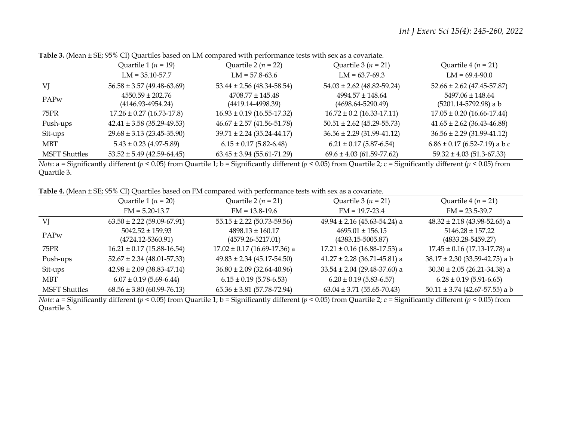|                      | Quartile 1 ( $n = 19$ )                       | Quartile 2 ( $n = 22$ )                       | Quartile $3(n = 21)$                          | Quartile 4 ( $n = 21$ )                           |
|----------------------|-----------------------------------------------|-----------------------------------------------|-----------------------------------------------|---------------------------------------------------|
|                      | $LM = 35.10 - 57.7$                           | $LM = 57.8-63.6$                              | $LM = 63.7-69.3$                              | $LM = 69.4 - 90.0$                                |
| VJ                   | $56.58 \pm 3.57$ (49.48-63.69)                | $53.44 \pm 2.56$ (48.34-58.54)                | $54.03 \pm 2.62$ (48.82-59.24)                | $52.66 \pm 2.62$ (47.45-57.87)                    |
| <b>PAPw</b>          | $4550.59 \pm 202.76$<br>$(4146.93 - 4954.24)$ | $4708.77 \pm 145.48$<br>$(4419.14 - 4998.39)$ | $4994.57 \pm 148.64$<br>$(4698.64 - 5290.49)$ | $5497.06 \pm 148.64$<br>$(5201.14 - 5792.98)$ a b |
| 75PR                 | $17.26 \pm 0.27$ (16.73-17.8)                 | $16.93 \pm 0.19$ (16.55-17.32)                | $16.72 \pm 0.2$ (16.33-17.11)                 | $17.05 \pm 0.20$ (16.66-17.44)                    |
| Push-ups             | $42.41 \pm 3.58$ (35.29-49.53)                | $46.67 \pm 2.57$ (41.56-51.78)                | $50.51 \pm 2.62$ (45.29-55.73)                | $41.65 \pm 2.62$ (36.43-46.88)                    |
| Sit-ups              | $29.68 \pm 3.13$ (23.45-35.90)                | $39.71 \pm 2.24 (35.24 - 44.17)$              | $36.56 \pm 2.29$ (31.99-41.12)                | $36.56 \pm 2.29$ (31.99-41.12)                    |
| <b>MBT</b>           | $5.43 \pm 0.23$ (4.97-5.89)                   | $6.15 \pm 0.17$ (5.82-6.48)                   | $6.21 \pm 0.17$ (5.87-6.54)                   | $6.86 \pm 0.17$ (6.52-7.19) a b c                 |
| <b>MSFT Shuttles</b> | $53.52 \pm 5.49$ (42.59-64.45)                | $63.45 \pm 3.94$ (55.61-71.29)                | $69.6 \pm 4.03$ (61.59-77.62)                 | $59.32 \pm 4.03$ (51.3-67.33)                     |

**Table 3.** (Mean ± SE; 95% CI) Quartiles based on LM compared with performance tests with sex as a covariate.

*Note:* a = Significantly different ( $p < 0.05$ ) from Quartile 1; b = Significantly different ( $p < 0.05$ ) from Quartile 2; c = Significantly different ( $p < 0.05$ ) from Quartile 3.

**Table 4.** (Mean ± SE; 95% CI) Quartiles based on FM compared with performance tests with sex as a covariate.

|                      | Quartile 1 ( $n = 20$ )                       | Quartile 2 ( $n = 21$ )                       | Quartile $3(n = 21)$                          | Quartile 4 ( $n = 21$ )                       |  |
|----------------------|-----------------------------------------------|-----------------------------------------------|-----------------------------------------------|-----------------------------------------------|--|
|                      | $FM = 5.20 - 13.7$                            | $FM = 13.8 - 19.6$                            | $FM = 19.7 - 23.4$                            | $FM = 23.5 - 39.7$                            |  |
| VJ                   | $63.50 \pm 2.22$ (59.09-67.91)                | $55.15 \pm 2.22$ (50.73-59.56)                | $49.94 \pm 2.16$ (45.63-54.24) a              | $48.32 \pm 2.18$ (43.98-52.65) a              |  |
| <b>PAPw</b>          | $5042.52 \pm 159.93$<br>$(4724.12 - 5360.91)$ | $4898.13 \pm 160.17$<br>$(4579.26 - 5217.01)$ | $4695.01 \pm 156.15$<br>$(4383.15 - 5005.87)$ | $5146.28 \pm 157.22$<br>$(4833.28 - 5459.27)$ |  |
| 75PR                 | $16.21 \pm 0.17$ (15.88-16.54)                | $17.02 \pm 0.17$ (16.69-17.36) a              | $17.21 \pm 0.16$ (16.88-17.53) a              | $17.45 \pm 0.16$ (17.13-17.78) a              |  |
| Push-ups             | $52.67 \pm 2.34$ (48.01-57.33)                | $49.83 \pm 2.34 (45.17 - 54.50)$              | $41.27 \pm 2.28$ (36.71-45.81) a              | $38.17 \pm 2.30$ (33.59-42.75) a b            |  |
| Sit-ups              | $42.98 \pm 2.09$ (38.83-47.14)                | $36.80 \pm 2.09$ (32.64-40.96)                | $33.54 \pm 2.04$ (29.48-37.60) a              | $30.30 \pm 2.05$ (26.21-34.38) a              |  |
| <b>MBT</b>           | $6.07 \pm 0.19$ (5.69-6.44)                   | $6.15 \pm 0.19$ (5.78-6.53)                   | $6.20 \pm 0.19$ (5.83-6.57)                   | $6.28 \pm 0.19$ (5.91-6.65)                   |  |
| <b>MSFT Shuttles</b> | $68.56 \pm 3.80$ (60.99-76.13)                | $65.36 \pm 3.81$ (57.78-72.94)                | $63.04 \pm 3.71$ (55.65-70.43)                | $50.11 \pm 3.74$ (42.67-57.55) a b            |  |

*Note:* a = Significantly different ( $p < 0.05$ ) from Quartile 1; b = Significantly different ( $p < 0.05$ ) from Quartile 2; c = Significantly different ( $p < 0.05$ ) from Quartile 3.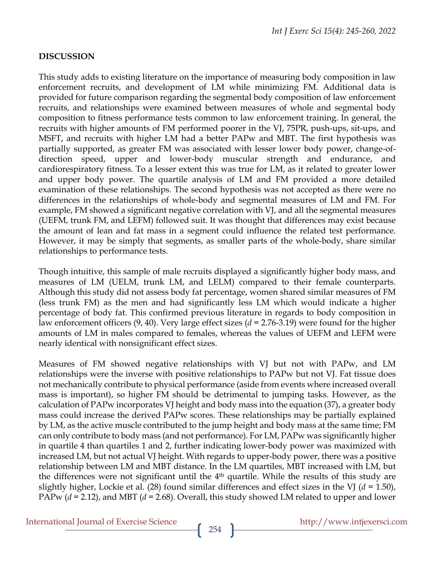## **DISCUSSION**

This study adds to existing literature on the importance of measuring body composition in law enforcement recruits, and development of LM while minimizing FM. Additional data is provided for future comparison regarding the segmental body composition of law enforcement recruits, and relationships were examined between measures of whole and segmental body composition to fitness performance tests common to law enforcement training. In general, the recruits with higher amounts of FM performed poorer in the VJ, 75PR, push-ups, sit-ups, and MSFT, and recruits with higher LM had a better PAPw and MBT. The first hypothesis was partially supported, as greater FM was associated with lesser lower body power, change-ofdirection speed, upper and lower-body muscular strength and endurance, and cardiorespiratory fitness. To a lesser extent this was true for LM, as it related to greater lower and upper body power. The quartile analysis of LM and FM provided a more detailed examination of these relationships. The second hypothesis was not accepted as there were no differences in the relationships of whole-body and segmental measures of LM and FM. For example, FM showed a significant negative correlation with VJ, and all the segmental measures (UEFM, trunk FM, and LEFM) followed suit. It was thought that differences may exist because the amount of lean and fat mass in a segment could influence the related test performance. However, it may be simply that segments, as smaller parts of the whole-body, share similar relationships to performance tests.

Though intuitive, this sample of male recruits displayed a significantly higher body mass, and measures of LM (UELM, trunk LM, and LELM) compared to their female counterparts. Although this study did not assess body fat percentage, women shared similar measures of FM (less trunk FM) as the men and had significantly less LM which would indicate a higher percentage of body fat. This confirmed previous literature in regards to body composition in law enforcement officers (9, 40). Very large effect sizes (*d* = 2.76-3.19) were found for the higher amounts of LM in males compared to females, whereas the values of UEFM and LEFM were nearly identical with nonsignificant effect sizes.

Measures of FM showed negative relationships with VJ but not with PAPw, and LM relationships were the inverse with positive relationships to PAPw but not VJ. Fat tissue does not mechanically contribute to physical performance (aside from events where increased overall mass is important), so higher FM should be detrimental to jumping tasks. However, as the calculation of PAPw incorporates VJ height and body mass into the equation (37), a greater body mass could increase the derived PAPw scores. These relationships may be partially explained by LM, as the active muscle contributed to the jump height and body mass at the same time; FM can only contribute to body mass (and not performance). For LM, PAPw was significantly higher in quartile 4 than quartiles 1 and 2, further indicating lower-body power was maximized with increased LM, but not actual VJ height. With regards to upper-body power, there was a positive relationship between LM and MBT distance. In the LM quartiles, MBT increased with LM, but the differences were not significant until the  $4<sup>th</sup>$  quartile. While the results of this study are slightly higher, Lockie et al. (28) found similar differences and effect sizes in the VJ (*d* = 1.50), PAPw (*d* = 2.12), and MBT (*d* = 2.68). Overall, this study showed LM related to upper and lower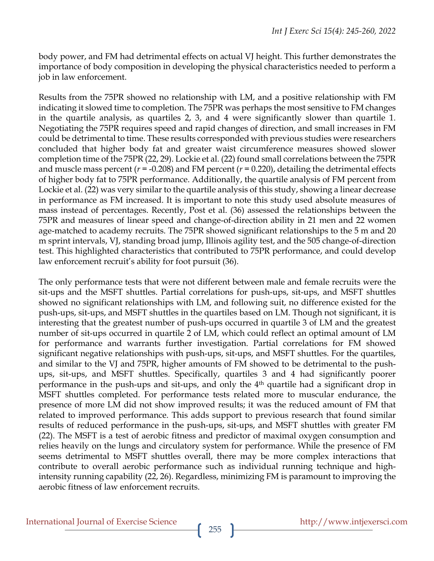body power, and FM had detrimental effects on actual VJ height. This further demonstrates the importance of body composition in developing the physical characteristics needed to perform a job in law enforcement.

Results from the 75PR showed no relationship with LM, and a positive relationship with FM indicating it slowed time to completion. The 75PR was perhaps the most sensitive to FM changes in the quartile analysis, as quartiles 2, 3, and 4 were significantly slower than quartile 1. Negotiating the 75PR requires speed and rapid changes of direction, and small increases in FM could be detrimental to time. These results corresponded with previous studies were researchers concluded that higher body fat and greater waist circumference measures showed slower completion time of the 75PR (22, 29). Lockie et al. (22) found small correlations between the 75PR and muscle mass percent (*r* = -0.208) and FM percent (*r* = 0.220), detailing the detrimental effects of higher body fat to 75PR performance. Additionally, the quartile analysis of FM percent from Lockie et al. (22) was very similar to the quartile analysis of this study, showing a linear decrease in performance as FM increased. It is important to note this study used absolute measures of mass instead of percentages. Recently, Post et al. (36) assessed the relationships between the 75PR and measures of linear speed and change-of-direction ability in 21 men and 22 women age-matched to academy recruits. The 75PR showed significant relationships to the 5 m and 20 m sprint intervals, VJ, standing broad jump, Illinois agility test, and the 505 change-of-direction test. This highlighted characteristics that contributed to 75PR performance, and could develop law enforcement recruit's ability for foot pursuit (36).

The only performance tests that were not different between male and female recruits were the sit-ups and the MSFT shuttles. Partial correlations for push-ups, sit-ups, and MSFT shuttles showed no significant relationships with LM, and following suit, no difference existed for the push-ups, sit-ups, and MSFT shuttles in the quartiles based on LM. Though not significant, it is interesting that the greatest number of push-ups occurred in quartile 3 of LM and the greatest number of sit-ups occurred in quartile 2 of LM, which could reflect an optimal amount of LM for performance and warrants further investigation. Partial correlations for FM showed significant negative relationships with push-ups, sit-ups, and MSFT shuttles. For the quartiles, and similar to the VJ and 75PR, higher amounts of FM showed to be detrimental to the pushups, sit-ups, and MSFT shuttles. Specifically, quartiles 3 and 4 had significantly poorer performance in the push-ups and sit-ups, and only the 4th quartile had a significant drop in MSFT shuttles completed. For performance tests related more to muscular endurance, the presence of more LM did not show improved results; it was the reduced amount of FM that related to improved performance. This adds support to previous research that found similar results of reduced performance in the push-ups, sit-ups, and MSFT shuttles with greater FM (22). The MSFT is a test of aerobic fitness and predictor of maximal oxygen consumption and relies heavily on the lungs and circulatory system for performance. While the presence of FM seems detrimental to MSFT shuttles overall, there may be more complex interactions that contribute to overall aerobic performance such as individual running technique and highintensity running capability (22, 26). Regardless, minimizing FM is paramount to improving the aerobic fitness of law enforcement recruits.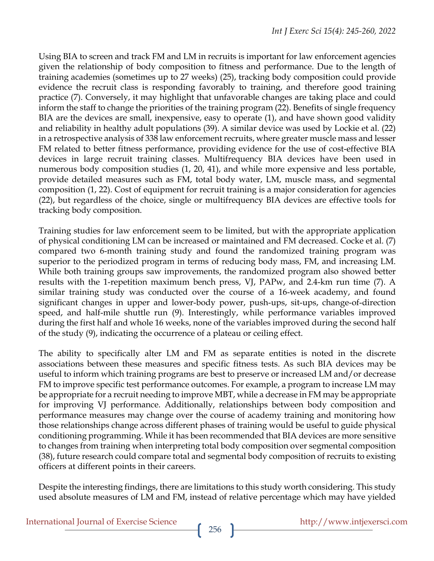Using BIA to screen and track FM and LM in recruits is important for law enforcement agencies given the relationship of body composition to fitness and performance. Due to the length of training academies (sometimes up to 27 weeks) (25), tracking body composition could provide evidence the recruit class is responding favorably to training, and therefore good training practice (7). Conversely, it may highlight that unfavorable changes are taking place and could inform the staff to change the priorities of the training program (22). Benefits of single frequency BIA are the devices are small, inexpensive, easy to operate (1), and have shown good validity and reliability in healthy adult populations (39). A similar device was used by Lockie et al. (22) in a retrospective analysis of 338 law enforcement recruits, where greater muscle mass and lesser FM related to better fitness performance, providing evidence for the use of cost-effective BIA devices in large recruit training classes. Multifrequency BIA devices have been used in numerous body composition studies  $(1, 20, 41)$ , and while more expensive and less portable, provide detailed measures such as FM, total body water, LM, muscle mass, and segmental composition (1, 22). Cost of equipment for recruit training is a major consideration for agencies (22), but regardless of the choice, single or multifrequency BIA devices are effective tools for tracking body composition.

Training studies for law enforcement seem to be limited, but with the appropriate application of physical conditioning LM can be increased or maintained and FM decreased. Cocke et al. (7) compared two 6-month training study and found the randomized training program was superior to the periodized program in terms of reducing body mass, FM, and increasing LM. While both training groups saw improvements, the randomized program also showed better results with the 1-repetition maximum bench press, VJ, PAPw, and 2.4-km run time (7). A similar training study was conducted over the course of a 16-week academy, and found significant changes in upper and lower-body power, push-ups, sit-ups, change-of-direction speed, and half-mile shuttle run (9). Interestingly, while performance variables improved during the first half and whole 16 weeks, none of the variables improved during the second half of the study (9), indicating the occurrence of a plateau or ceiling effect.

The ability to specifically alter LM and FM as separate entities is noted in the discrete associations between these measures and specific fitness tests. As such BIA devices may be useful to inform which training programs are best to preserve or increased LM and/or decrease FM to improve specific test performance outcomes. For example, a program to increase LM may be appropriate for a recruit needing to improve MBT, while a decrease in FM may be appropriate for improving VJ performance. Additionally, relationships between body composition and performance measures may change over the course of academy training and monitoring how those relationships change across different phases of training would be useful to guide physical conditioning programming. While it has been recommended that BIA devices are more sensitive to changes from training when interpreting total body composition over segmental composition (38), future research could compare total and segmental body composition of recruits to existing officers at different points in their careers.

Despite the interesting findings, there are limitations to this study worth considering. This study used absolute measures of LM and FM, instead of relative percentage which may have yielded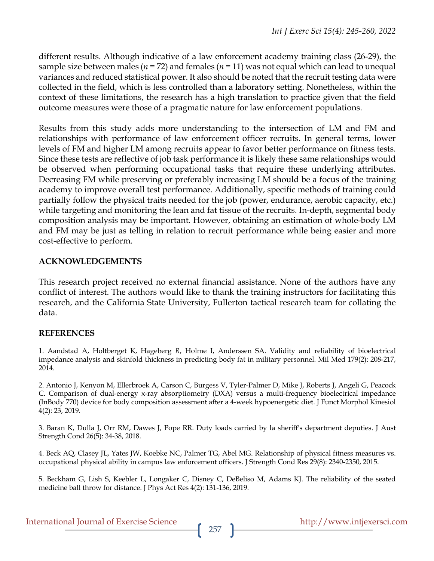different results. Although indicative of a law enforcement academy training class (26-29), the sample size between males ( $n = 72$ ) and females ( $n = 11$ ) was not equal which can lead to unequal variances and reduced statistical power. It also should be noted that the recruit testing data were collected in the field, which is less controlled than a laboratory setting. Nonetheless, within the context of these limitations, the research has a high translation to practice given that the field outcome measures were those of a pragmatic nature for law enforcement populations.

Results from this study adds more understanding to the intersection of LM and FM and relationships with performance of law enforcement officer recruits. In general terms, lower levels of FM and higher LM among recruits appear to favor better performance on fitness tests. Since these tests are reflective of job task performance it is likely these same relationships would be observed when performing occupational tasks that require these underlying attributes. Decreasing FM while preserving or preferably increasing LM should be a focus of the training academy to improve overall test performance. Additionally, specific methods of training could partially follow the physical traits needed for the job (power, endurance, aerobic capacity, etc.) while targeting and monitoring the lean and fat tissue of the recruits. In-depth, segmental body composition analysis may be important. However, obtaining an estimation of whole-body LM and FM may be just as telling in relation to recruit performance while being easier and more cost-effective to perform.

## **ACKNOWLEDGEMENTS**

This research project received no external financial assistance. None of the authors have any conflict of interest. The authors would like to thank the training instructors for facilitating this research, and the California State University, Fullerton tactical research team for collating the data.

# **REFERENCES**

1. Aandstad A, Holtberget K, Hageberg *R*, Holme I, Anderssen SA. Validity and reliability of bioelectrical impedance analysis and skinfold thickness in predicting body fat in military personnel. Mil Med 179(2): 208-217, 2014.

2. Antonio J, Kenyon M, Ellerbroek A, Carson C, Burgess V, Tyler-Palmer D, Mike J, Roberts J, Angeli G, Peacock C. Comparison of dual-energy x-ray absorptiometry (DXA) versus a multi-frequency bioelectrical impedance (InBody 770) device for body composition assessment after a 4-week hypoenergetic diet. J Funct Morphol Kinesiol 4(2): 23, 2019.

3. Baran K, Dulla J, Orr RM, Dawes J, Pope RR. Duty loads carried by la sheriff's department deputies. J Aust Strength Cond 26(5): 34-38, 2018.

4. Beck AQ, Clasey JL, Yates JW, Koebke NC, Palmer TG, Abel MG. Relationship of physical fitness measures vs. occupational physical ability in campus law enforcement officers. J Strength Cond Res 29(8): 2340-2350, 2015.

5. Beckham G, Lish S, Keebler L, Longaker C, Disney C, DeBeliso M, Adams KJ. The reliability of the seated medicine ball throw for distance. J Phys Act Res 4(2): 131-136, 2019.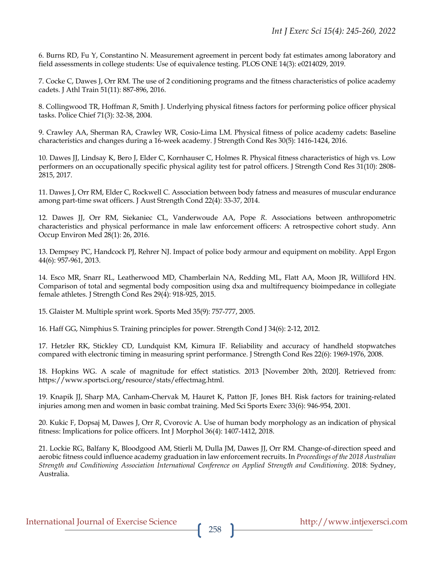6. Burns RD, Fu Y, Constantino N. Measurement agreement in percent body fat estimates among laboratory and field assessments in college students: Use of equivalence testing. PLOS ONE 14(3): e0214029, 2019.

7. Cocke C, Dawes J, Orr RM. The use of 2 conditioning programs and the fitness characteristics of police academy cadets. J Athl Train 51(11): 887-896, 2016.

8. Collingwood TR, Hoffman *R*, Smith J. Underlying physical fitness factors for performing police officer physical tasks. Police Chief 71(3): 32-38, 2004.

9. Crawley AA, Sherman RA, Crawley WR, Cosio-Lima LM. Physical fitness of police academy cadets: Baseline characteristics and changes during a 16-week academy. J Strength Cond Res 30(5): 1416-1424, 2016.

10. Dawes JJ, Lindsay K, Bero J, Elder C, Kornhauser C, Holmes R. Physical fitness characteristics of high vs. Low performers on an occupationally specific physical agility test for patrol officers. J Strength Cond Res 31(10): 2808- 2815, 2017.

11. Dawes J, Orr RM, Elder C, Rockwell C. Association between body fatness and measures of muscular endurance among part-time swat officers. J Aust Strength Cond 22(4): 33-37, 2014.

12. Dawes JJ, Orr RM, Siekaniec CL, Vanderwoude AA, Pope *R*. Associations between anthropometric characteristics and physical performance in male law enforcement officers: A retrospective cohort study. Ann Occup Environ Med 28(1): 26, 2016.

13. Dempsey PC, Handcock PJ, Rehrer NJ. Impact of police body armour and equipment on mobility. Appl Ergon 44(6): 957-961, 2013.

14. Esco MR, Snarr RL, Leatherwood MD, Chamberlain NA, Redding ML, Flatt AA, Moon JR, Williford HN. Comparison of total and segmental body composition using dxa and multifrequency bioimpedance in collegiate female athletes. J Strength Cond Res 29(4): 918-925, 2015.

15. Glaister M. Multiple sprint work. Sports Med 35(9): 757-777, 2005.

16. Haff GG, Nimphius S. Training principles for power. Strength Cond J 34(6): 2-12, 2012.

17. Hetzler RK, Stickley CD, Lundquist KM, Kimura IF. Reliability and accuracy of handheld stopwatches compared with electronic timing in measuring sprint performance. J Strength Cond Res 22(6): 1969-1976, 2008.

18. Hopkins WG. A scale of magnitude for effect statistics. 2013 [November 20th, 2020]. Retrieved from: https://www.sportsci.org/resource/stats/effectmag.html.

19. Knapik JJ, Sharp MA, Canham-Chervak M, Hauret K, Patton JF, Jones BH. Risk factors for training-related injuries among men and women in basic combat training. Med Sci Sports Exerc 33(6): 946-954, 2001.

20. Kukic F, Dopsaj M, Dawes J, Orr *R*, Cvorovic A. Use of human body morphology as an indication of physical fitness: Implications for police officers. Int J Morphol 36(4): 1407-1412, 2018.

21. Lockie RG, Balfany K, Bloodgood AM, Stierli M, Dulla JM, Dawes JJ, Orr RM. Change-of-direction speed and aerobic fitness could influence academy graduation in law enforcement recruits. In *Proceedings of the 2018 Australian Strength and Conditioning Association International Conference on Applied Strength and Conditioning*. 2018: Sydney, Australia.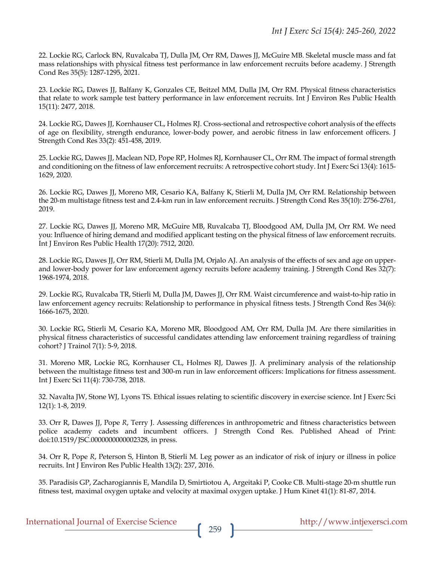22. Lockie RG, Carlock BN, Ruvalcaba TJ, Dulla JM, Orr RM, Dawes JJ, McGuire MB. Skeletal muscle mass and fat mass relationships with physical fitness test performance in law enforcement recruits before academy. J Strength Cond Res 35(5): 1287-1295, 2021.

23. Lockie RG, Dawes JJ, Balfany K, Gonzales CE, Beitzel MM, Dulla JM, Orr RM. Physical fitness characteristics that relate to work sample test battery performance in law enforcement recruits. Int J Environ Res Public Health 15(11): 2477, 2018.

24. Lockie RG, Dawes JJ, Kornhauser CL, Holmes RJ. Cross-sectional and retrospective cohort analysis of the effects of age on flexibility, strength endurance, lower-body power, and aerobic fitness in law enforcement officers. J Strength Cond Res 33(2): 451-458, 2019.

25. Lockie RG, Dawes JJ, Maclean ND, Pope RP, Holmes RJ, Kornhauser CL, Orr RM. The impact of formal strength and conditioning on the fitness of law enforcement recruits: A retrospective cohort study. Int J Exerc Sci 13(4): 1615- 1629, 2020.

26. Lockie RG, Dawes JJ, Moreno MR, Cesario KA, Balfany K, Stierli M, Dulla JM, Orr RM. Relationship between the 20-m multistage fitness test and 2.4-km run in law enforcement recruits. J Strength Cond Res 35(10): 2756-2761, 2019.

27. Lockie RG, Dawes JJ, Moreno MR, McGuire MB, Ruvalcaba TJ, Bloodgood AM, Dulla JM, Orr RM. We need you: Influence of hiring demand and modified applicant testing on the physical fitness of law enforcement recruits. Int J Environ Res Public Health 17(20): 7512, 2020.

28. Lockie RG, Dawes JJ, Orr RM, Stierli M, Dulla JM, Orjalo AJ. An analysis of the effects of sex and age on upperand lower-body power for law enforcement agency recruits before academy training. J Strength Cond Res 32(7): 1968-1974, 2018.

29. Lockie RG, Ruvalcaba TR, Stierli M, Dulla JM, Dawes JJ, Orr RM. Waist circumference and waist-to-hip ratio in law enforcement agency recruits: Relationship to performance in physical fitness tests. J Strength Cond Res 34(6): 1666-1675, 2020.

30. Lockie RG, Stierli M, Cesario KA, Moreno MR, Bloodgood AM, Orr RM, Dulla JM. Are there similarities in physical fitness characteristics of successful candidates attending law enforcement training regardless of training cohort? J Trainol 7(1): 5-9, 2018.

31. Moreno MR, Lockie RG, Kornhauser CL, Holmes RJ, Dawes JJ. A preliminary analysis of the relationship between the multistage fitness test and 300-m run in law enforcement officers: Implications for fitness assessment. Int J Exerc Sci 11(4): 730-738, 2018.

32. Navalta JW, Stone WJ, Lyons TS. Ethical issues relating to scientific discovery in exercise science. Int J Exerc Sci 12(1): 1-8, 2019.

33. Orr R, Dawes JJ, Pope *R*, Terry J. Assessing differences in anthropometric and fitness characteristics between police academy cadets and incumbent officers. J Strength Cond Res. Published Ahead of Print: doi:10.1519/JSC.0000000000002328, in press.

34. Orr R, Pope *R*, Peterson S, Hinton B, Stierli M. Leg power as an indicator of risk of injury or illness in police recruits. Int J Environ Res Public Health 13(2): 237, 2016.

35. Paradisis GP, Zacharogiannis E, Mandila D, Smirtiotou A, Argeitaki P, Cooke CB. Multi-stage 20-m shuttle run fitness test, maximal oxygen uptake and velocity at maximal oxygen uptake. J Hum Kinet 41(1): 81-87, 2014.